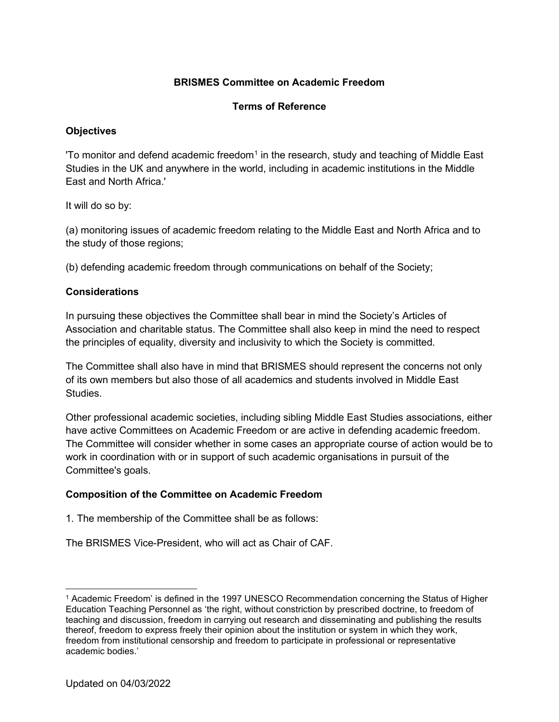# **BRISMES Committee on Academic Freedom**

### **Terms of Reference**

# **Objectives**

'To monitor and defend academic freedom<sup>[1](#page-0-0)</sup> in the research, study and teaching of Middle East Studies in the UK and anywhere in the world, including in academic institutions in the Middle East and North Africa.'

It will do so by:

(a) monitoring issues of academic freedom relating to the Middle East and North Africa and to the study of those regions;

(b) defending academic freedom through communications on behalf of the Society;

### **Considerations**

In pursuing these objectives the Committee shall bear in mind the Society's Articles of Association and charitable status. The Committee shall also keep in mind the need to respect the principles of equality, diversity and inclusivity to which the Society is committed.

The Committee shall also have in mind that BRISMES should represent the concerns not only of its own members but also those of all academics and students involved in Middle East Studies.

Other professional academic societies, including sibling Middle East Studies associations, either have active Committees on Academic Freedom or are active in defending academic freedom. The Committee will consider whether in some cases an appropriate course of action would be to work in coordination with or in support of such academic organisations in pursuit of the Committee's goals.

### **Composition of the Committee on Academic Freedom**

1. The membership of the Committee shall be as follows:

The BRISMES Vice-President, who will act as Chair of CAF.

<span id="page-0-0"></span><sup>1</sup> Academic Freedom' is defined in the 1997 UNESCO Recommendation concerning the Status of Higher Education Teaching Personnel as 'the right, without constriction by prescribed doctrine, to freedom of teaching and discussion, freedom in carrying out research and disseminating and publishing the results thereof, freedom to express freely their opinion about the institution or system in which they work, freedom from institutional censorship and freedom to participate in professional or representative academic bodies.'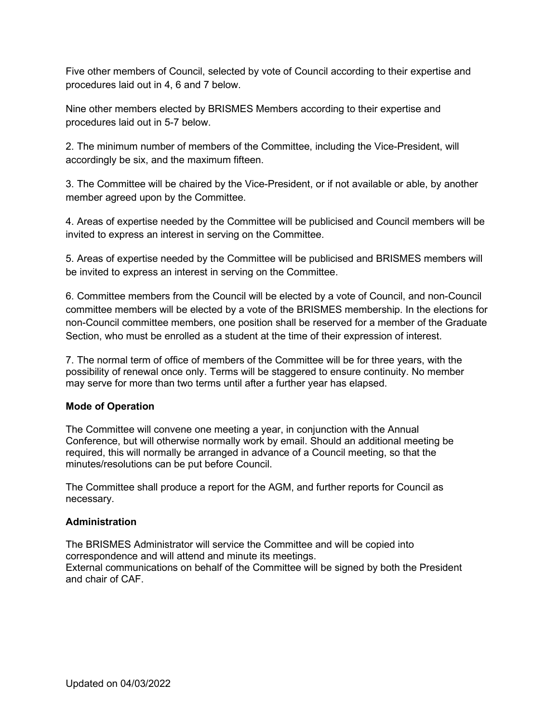Five other members of Council, selected by vote of Council according to their expertise and procedures laid out in 4, 6 and 7 below.

Nine other members elected by BRISMES Members according to their expertise and procedures laid out in 5-7 below.

2. The minimum number of members of the Committee, including the Vice-President, will accordingly be six, and the maximum fifteen.

3. The Committee will be chaired by the Vice-President, or if not available or able, by another member agreed upon by the Committee.

4. Areas of expertise needed by the Committee will be publicised and Council members will be invited to express an interest in serving on the Committee.

5. Areas of expertise needed by the Committee will be publicised and BRISMES members will be invited to express an interest in serving on the Committee.

6. Committee members from the Council will be elected by a vote of Council, and non-Council committee members will be elected by a vote of the BRISMES membership. In the elections for non-Council committee members, one position shall be reserved for a member of the Graduate Section, who must be enrolled as a student at the time of their expression of interest.

7. The normal term of office of members of the Committee will be for three years, with the possibility of renewal once only. Terms will be staggered to ensure continuity. No member may serve for more than two terms until after a further year has elapsed.

### **Mode of Operation**

The Committee will convene one meeting a year, in conjunction with the Annual Conference, but will otherwise normally work by email. Should an additional meeting be required, this will normally be arranged in advance of a Council meeting, so that the minutes/resolutions can be put before Council.

The Committee shall produce a report for the AGM, and further reports for Council as necessary.

### **Administration**

The BRISMES Administrator will service the Committee and will be copied into correspondence and will attend and minute its meetings. External communications on behalf of the Committee will be signed by both the President and chair of CAF.